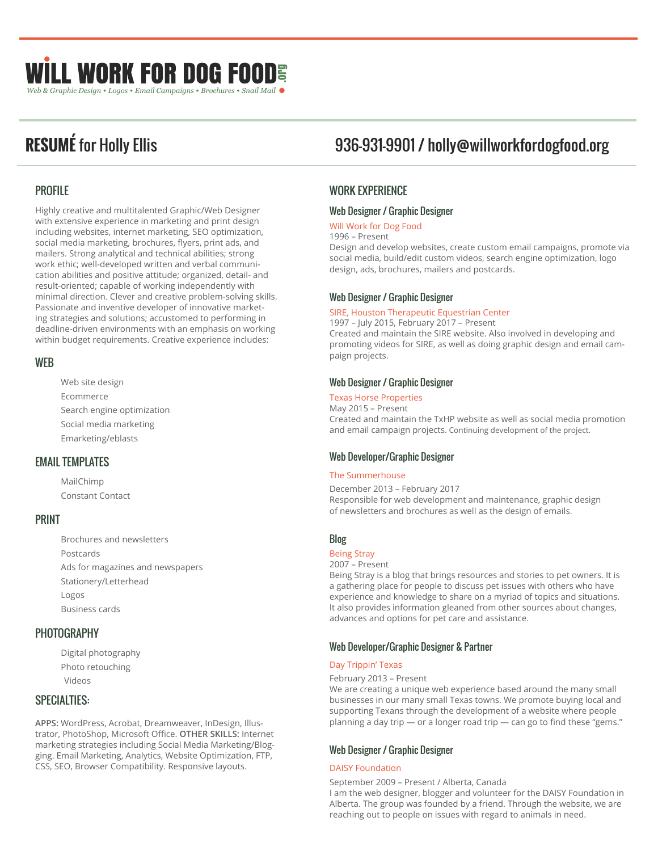# **ILL WORK FOR DOG FOODE** Web & Graphic Design . Logos . Email Campaigns . Brochures . Snail Mail

# PROFILE

Highly creative and multitalented Graphic/Web Designer with extensive experience in marketing and print design including websites, internet marketing, SEO optimization, social media marketing, brochures, flyers, print ads, and mailers. Strong analytical and technical abilities; strong work ethic; well-developed written and verbal communication abilities and positive attitude; organized, detail- and result-oriented; capable of working independently with minimal direction. Clever and creative problem-solving skills. Passionate and inventive developer of innovative marketing strategies and solutions; accustomed to performing in deadline-driven environments with an emphasis on working within budget requirements. Creative experience includes:

# WEB

Web site design Ecommerce Search engine optimization Social media marketing Emarketing/eblasts

# EMAIL TEMPLATES

MailChimp Constant Contact

# PRINT

Brochures and newsletters Postcards Ads for magazines and newspapers Stationery/Letterhead Logos Business cards

# **PHOTOGRAPHY**

Digital photography Photo retouching Videos

# SPECIALTIES:

**APPS:** WordPress, Acrobat, Dreamweaver, InDesign, Illustrator, PhotoShop, Microsoft Office. **OTHER SKILLS:** Internet marketing strategies including Social Media Marketing/Blogging. Email Marketing, Analytics, Website Optimization, FTP, CSS, SEO, Browser Compatibility. Responsive layouts.

# **RESUMÉ** for Holly Ellis 936-931-9901 / holly@willworkfordogfood.org

# WORK EXPERIENCE

## Web Designer / Graphic Designer

#### Will Work for Dog Food

1996 – Present

Design and develop websites, create custom email campaigns, promote via social media, build/edit custom videos, search engine optimization, logo design, ads, brochures, mailers and postcards.

## Web Designer / Graphic Designer

#### SIRE, Houston Therapeutic Equestrian Center

1997 – July 2015, February 2017 – Present Created and maintain the SIRE website. Also involved in developing and promoting videos for SIRE, as well as doing graphic design and email campaign projects.

# Web Designer / Graphic Designer

Texas Horse Properties May 2015 – Present Created and maintain the TxHP website as well as social media promotion and email campaign projects. Continuing development of the project.

# Web Developer/Graphic Designer

#### The Summerhouse

December 2013 – February 2017 Responsible for web development and maintenance, graphic design of newsletters and brochures as well as the design of emails.

# Blog

# Being Stray

2007 – Present

Being Stray is a blog that brings resources and stories to pet owners. It is a gathering place for people to discuss pet issues with others who have experience and knowledge to share on a myriad of topics and situations. It also provides information gleaned from other sources about changes, advances and options for pet care and assistance.

# Web Developer/Graphic Designer & Partner

#### Day Trippin' Texas

#### February 2013 – Present

We are creating a unique web experience based around the many small businesses in our many small Texas towns. We promote buying local and supporting Texans through the development of a website where people planning a day trip — or a longer road trip — can go to find these "gems."

# Web Designer / Graphic Designer

#### DAISY Foundation

September 2009 – Present / Alberta, Canada I am the web designer, blogger and volunteer for the DAISY Foundation in Alberta. The group was founded by a friend. Through the website, we are reaching out to people on issues with regard to animals in need.